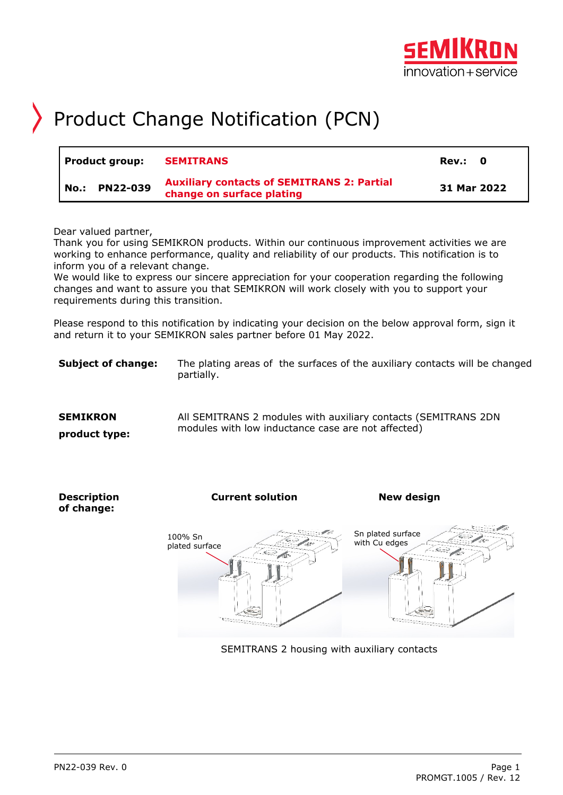

## Product Change Notification (PCN)

| Product group: |                    | <b>SEMITRANS</b>                                                               | Rev.: 0     |
|----------------|--------------------|--------------------------------------------------------------------------------|-------------|
|                | PN22-039<br>  No.: | <b>Auxiliary contacts of SEMITRANS 2: Partial</b><br>change on surface plating | 31 Mar 2022 |

Dear valued partner,

Thank you for using SEMIKRON products. Within our continuous improvement activities we are working to enhance performance, quality and reliability of our products. This notification is to inform you of a relevant change.

We would like to express our sincere appreciation for your cooperation regarding the following changes and want to assure you that SEMIKRON will work closely with you to support your requirements during this transition.

Please respond to this notification by indicating your decision on the below approval form, sign it and return it to your SEMIKRON sales partner before 01 May 2022.

**Subject of change:** The plating areas of the surfaces of the auxiliary contacts will be changed partially.

| <b>SEMIKRON</b> | All SEMITRANS 2 modules with auxiliary contacts (SEMITRANS 2DN |
|-----------------|----------------------------------------------------------------|
| product type:   | modules with low inductance case are not affected)             |



SEMITRANS 2 housing with auxiliary contacts

**Description of change:**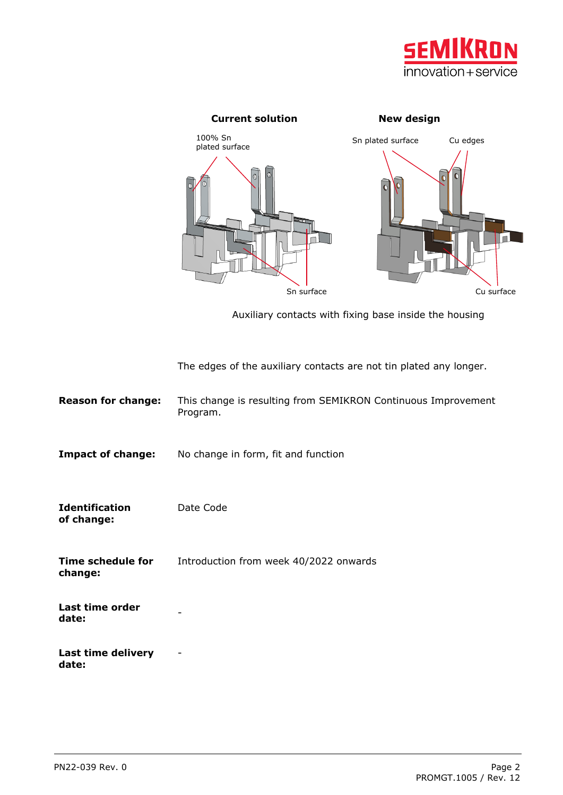



Auxiliary contacts with fixing base inside the housing

The edges of the auxiliary contacts are not tin plated any longer.

| <b>Reason for change:</b>           | This change is resulting from SEMIKRON Continuous Improvement<br>Program. |
|-------------------------------------|---------------------------------------------------------------------------|
| <b>Impact of change:</b>            | No change in form, fit and function                                       |
| <b>Identification</b><br>of change: | Date Code                                                                 |
| Time schedule for<br>change:        | Introduction from week 40/2022 onwards                                    |
| Last time order<br>date:            |                                                                           |
| Last time delivery<br>date:         | ۰                                                                         |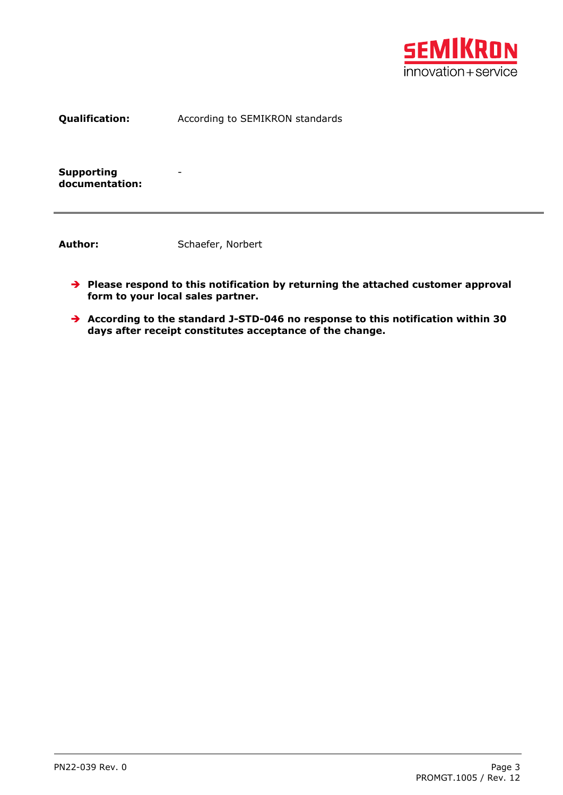

**Qualification:** According to SEMIKRON standards

**Supporting documentation:**

Author: Schaefer, Norbert

-

- **Please respond to this notification by returning the attached customer approval form to your local sales partner.**
- **According to the standard J-STD-046 no response to this notification within 30 days after receipt constitutes acceptance of the change.**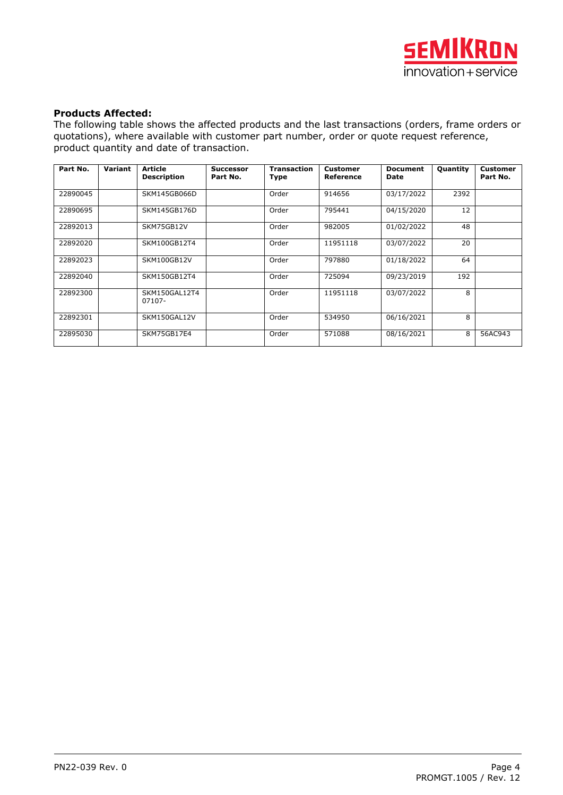

## **Products Affected:**

The following table shows the affected products and the last transactions (orders, frame orders or quotations), where available with customer part number, order or quote request reference, product quantity and date of transaction.

| Part No. | Variant | <b>Article</b><br><b>Description</b> | <b>Successor</b><br>Part No. | <b>Transaction</b><br>Type | Customer<br>Reference | <b>Document</b><br>Date | <b>Quantity</b> | <b>Customer</b><br>Part No. |
|----------|---------|--------------------------------------|------------------------------|----------------------------|-----------------------|-------------------------|-----------------|-----------------------------|
| 22890045 |         | SKM145GB066D                         |                              | Order                      | 914656                | 03/17/2022              | 2392            |                             |
| 22890695 |         | SKM145GB176D                         |                              | Order                      | 795441                | 04/15/2020              | 12              |                             |
| 22892013 |         | SKM75GB12V                           |                              | Order                      | 982005                | 01/02/2022              | 48              |                             |
| 22892020 |         | SKM100GB12T4                         |                              | Order                      | 11951118              | 03/07/2022              | 20              |                             |
| 22892023 |         | SKM100GB12V                          |                              | Order                      | 797880                | 01/18/2022              | 64              |                             |
| 22892040 |         | SKM150GB12T4                         |                              | Order                      | 725094                | 09/23/2019              | 192             |                             |
| 22892300 |         | SKM150GAL12T4<br>07107-              |                              | Order                      | 11951118              | 03/07/2022              | 8               |                             |
| 22892301 |         | SKM150GAL12V                         |                              | Order                      | 534950                | 06/16/2021              | 8               |                             |
| 22895030 |         | SKM75GB17E4                          |                              | Order                      | 571088                | 08/16/2021              | 8               | 56AC943                     |